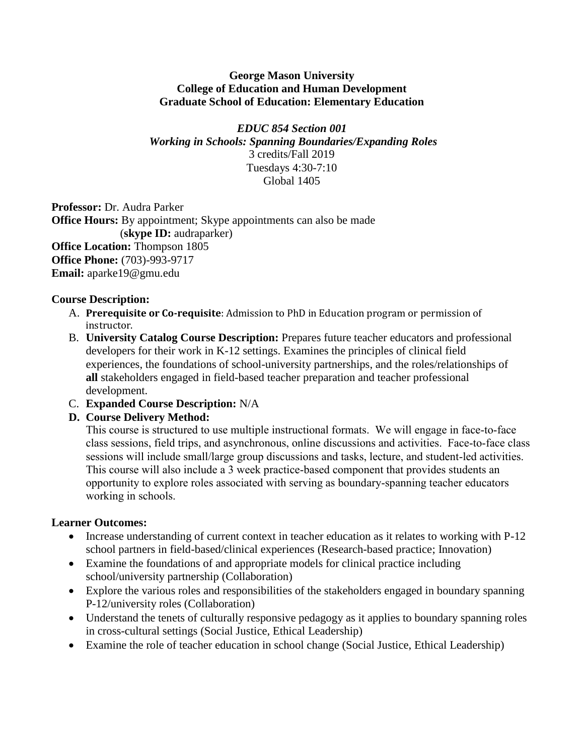#### **George Mason University College of Education and Human Development Graduate School of Education: Elementary Education**

*EDUC 854 Section 001 Working in Schools: Spanning Boundaries/Expanding Roles* 3 credits/Fall 2019 Tuesdays 4:30-7:10 Global 1405

**Professor:** Dr. Audra Parker **Office Hours:** By appointment; Skype appointments can also be made (**skype ID:** audraparker) **Office Location:** Thompson 1805 **Office Phone:** (703)-993-9717 **Email:** aparke19@gmu.edu

### **Course Description:**

- A. **Prerequisite or Co-requisite**: Admission to PhD in Education program or permission of instructor.
- B. **University Catalog Course Description:** Prepares future teacher educators and professional developers for their work in K-12 settings. Examines the principles of clinical field experiences, the foundations of school-university partnerships, and the roles/relationships of **all** stakeholders engaged in field-based teacher preparation and teacher professional development.
- C. **Expanded Course Description:** N/A

# **D. Course Delivery Method:**

This course is structured to use multiple instructional formats. We will engage in face-to-face class sessions, field trips, and asynchronous, online discussions and activities. Face-to-face class sessions will include small/large group discussions and tasks, lecture, and student-led activities. This course will also include a 3 week practice-based component that provides students an opportunity to explore roles associated with serving as boundary-spanning teacher educators working in schools.

### **Learner Outcomes:**

- Increase understanding of current context in teacher education as it relates to working with P-12 school partners in field-based/clinical experiences (Research-based practice; Innovation)
- Examine the foundations of and appropriate models for clinical practice including school/university partnership (Collaboration)
- Explore the various roles and responsibilities of the stakeholders engaged in boundary spanning P-12/university roles (Collaboration)
- Understand the tenets of culturally responsive pedagogy as it applies to boundary spanning roles in cross-cultural settings (Social Justice, Ethical Leadership)
- Examine the role of teacher education in school change (Social Justice, Ethical Leadership)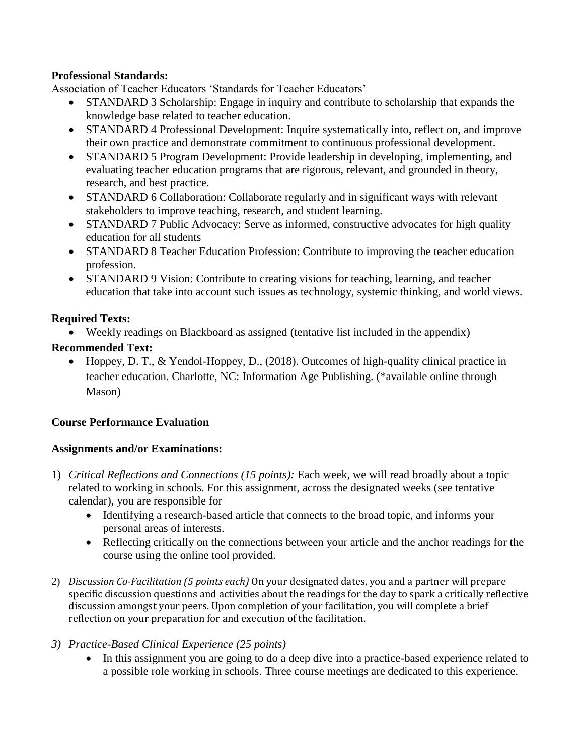### **Professional Standards:**

Association of Teacher Educators 'Standards for Teacher Educators'

- STANDARD 3 Scholarship: Engage in inquiry and contribute to scholarship that expands the knowledge base related to teacher education.
- STANDARD 4 Professional Development: Inquire systematically into, reflect on, and improve their own practice and demonstrate commitment to continuous professional development.
- STANDARD 5 Program Development: Provide leadership in developing, implementing, and evaluating teacher education programs that are rigorous, relevant, and grounded in theory, research, and best practice.
- STANDARD 6 Collaboration: Collaborate regularly and in significant ways with relevant stakeholders to improve teaching, research, and student learning.
- STANDARD 7 Public Advocacy: Serve as informed, constructive advocates for high quality education for all students
- STANDARD 8 Teacher Education Profession: Contribute to improving the teacher education profession.
- STANDARD 9 Vision: Contribute to creating visions for teaching, learning, and teacher education that take into account such issues as technology, systemic thinking, and world views.

### **Required Texts:**

Weekly readings on Blackboard as assigned (tentative list included in the appendix)

### **Recommended Text:**

 Hoppey, D. T., & Yendol-Hoppey, D., (2018). Outcomes of high-quality clinical practice in teacher education. Charlotte, NC: Information Age Publishing. (\*available online through Mason)

# **Course Performance Evaluation**

# **Assignments and/or Examinations:**

- 1) *Critical Reflections and Connections (15 points):* Each week, we will read broadly about a topic related to working in schools. For this assignment, across the designated weeks (see tentative calendar), you are responsible for
	- Identifying a research-based article that connects to the broad topic, and informs your personal areas of interests.
	- Reflecting critically on the connections between your article and the anchor readings for the course using the online tool provided.
- 2) *Discussion Co-Facilitation (5 points each)* On your designated dates, you and a partner will prepare specific discussion questions and activities about the readings for the day to spark a critically reflective discussion amongst your peers. Upon completion of your facilitation, you will complete a brief reflection on your preparation for and execution of the facilitation.

# *3) Practice-Based Clinical Experience (25 points)*

 In this assignment you are going to do a deep dive into a practice-based experience related to a possible role working in schools. Three course meetings are dedicated to this experience.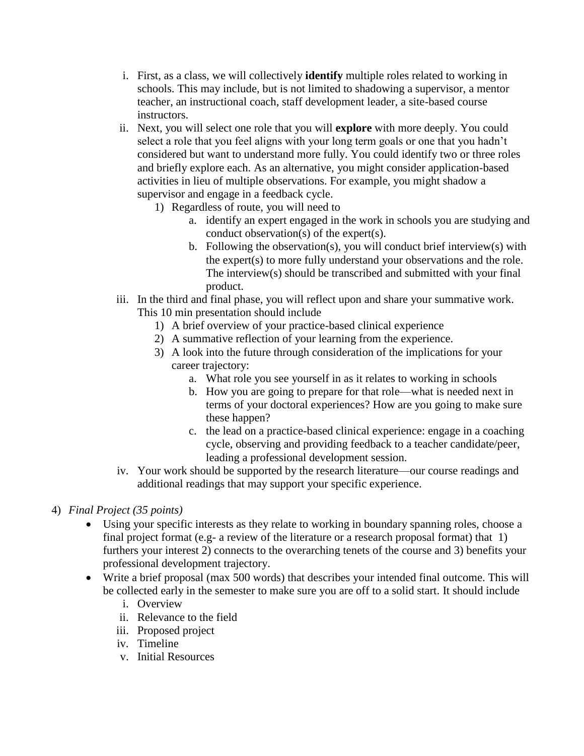- i. First, as a class, we will collectively **identify** multiple roles related to working in schools. This may include, but is not limited to shadowing a supervisor, a mentor teacher, an instructional coach, staff development leader, a site-based course instructors.
- ii. Next, you will select one role that you will **explore** with more deeply. You could select a role that you feel aligns with your long term goals or one that you hadn't considered but want to understand more fully. You could identify two or three roles and briefly explore each. As an alternative, you might consider application-based activities in lieu of multiple observations. For example, you might shadow a supervisor and engage in a feedback cycle.
	- 1) Regardless of route, you will need to
		- a. identify an expert engaged in the work in schools you are studying and conduct observation(s) of the expert(s).
		- b. Following the observation(s), you will conduct brief interview(s) with the expert(s) to more fully understand your observations and the role. The interview(s) should be transcribed and submitted with your final product.
- iii. In the third and final phase, you will reflect upon and share your summative work. This 10 min presentation should include
	- 1) A brief overview of your practice-based clinical experience
	- 2) A summative reflection of your learning from the experience.
	- 3) A look into the future through consideration of the implications for your career trajectory:
		- a. What role you see yourself in as it relates to working in schools
		- b. How you are going to prepare for that role—what is needed next in terms of your doctoral experiences? How are you going to make sure these happen?
		- c. the lead on a practice-based clinical experience: engage in a coaching cycle, observing and providing feedback to a teacher candidate/peer, leading a professional development session.
- iv. Your work should be supported by the research literature—our course readings and additional readings that may support your specific experience.

# 4) *Final Project (35 points)*

- Using your specific interests as they relate to working in boundary spanning roles, choose a final project format (e.g- a review of the literature or a research proposal format) that 1) furthers your interest 2) connects to the overarching tenets of the course and 3) benefits your professional development trajectory.
- Write a brief proposal (max 500 words) that describes your intended final outcome. This will be collected early in the semester to make sure you are off to a solid start. It should include
	- i. Overview
	- ii. Relevance to the field
	- iii. Proposed project
	- iv. Timeline
	- v. Initial Resources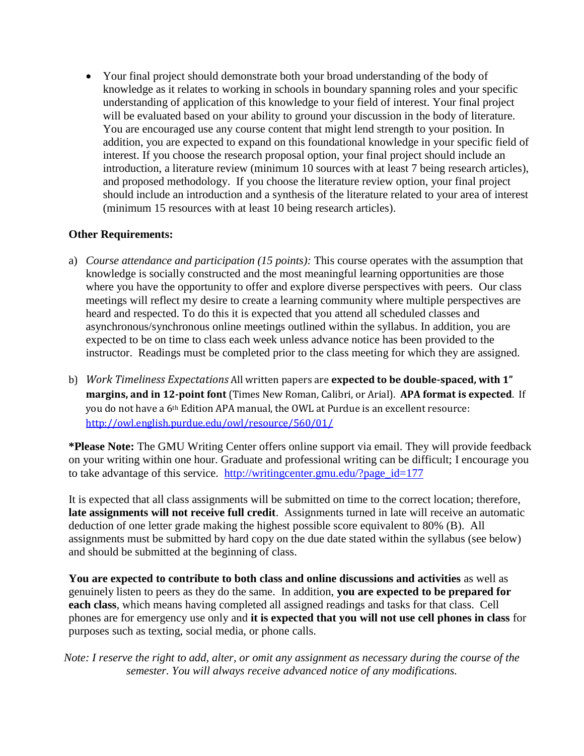Your final project should demonstrate both your broad understanding of the body of knowledge as it relates to working in schools in boundary spanning roles and your specific understanding of application of this knowledge to your field of interest. Your final project will be evaluated based on your ability to ground your discussion in the body of literature. You are encouraged use any course content that might lend strength to your position. In addition, you are expected to expand on this foundational knowledge in your specific field of interest. If you choose the research proposal option, your final project should include an introduction, a literature review (minimum 10 sources with at least 7 being research articles), and proposed methodology. If you choose the literature review option, your final project should include an introduction and a synthesis of the literature related to your area of interest (minimum 15 resources with at least 10 being research articles).

### **Other Requirements:**

- a) *Course attendance and participation (15 points):* This course operates with the assumption that knowledge is socially constructed and the most meaningful learning opportunities are those where you have the opportunity to offer and explore diverse perspectives with peers. Our class meetings will reflect my desire to create a learning community where multiple perspectives are heard and respected. To do this it is expected that you attend all scheduled classes and asynchronous/synchronous online meetings outlined within the syllabus. In addition, you are expected to be on time to class each week unless advance notice has been provided to the instructor. Readings must be completed prior to the class meeting for which they are assigned.
- b) *Work Timeliness Expectations* All written papers are **expected to be double-spaced, with 1" margins, and in 12-point font** (Times New Roman, Calibri, or Arial). **APA format is expected**. If you do not have a 6th Edition APA manual, the OWL at Purdue is an excellent resource: <http://owl.english.purdue.edu/owl/resource/560/01/>

**\*Please Note:** The GMU Writing Center offers online support via email. They will provide feedback on your writing within one hour. Graduate and professional writing can be difficult; I encourage you to take advantage of this service. [http://writingcenter.gmu.edu/?page\\_id=177](http://writingcenter.gmu.edu/?page_id=177)

It is expected that all class assignments will be submitted on time to the correct location; therefore, **late assignments will not receive full credit**. Assignments turned in late will receive an automatic deduction of one letter grade making the highest possible score equivalent to 80% (B). All assignments must be submitted by hard copy on the due date stated within the syllabus (see below) and should be submitted at the beginning of class.

**You are expected to contribute to both class and online discussions and activities** as well as genuinely listen to peers as they do the same. In addition, **you are expected to be prepared for each class**, which means having completed all assigned readings and tasks for that class. Cell phones are for emergency use only and **it is expected that you will not use cell phones in class** for purposes such as texting, social media, or phone calls.

*Note: I reserve the right to add, alter, or omit any assignment as necessary during the course of the semester. You will always receive advanced notice of any modifications.*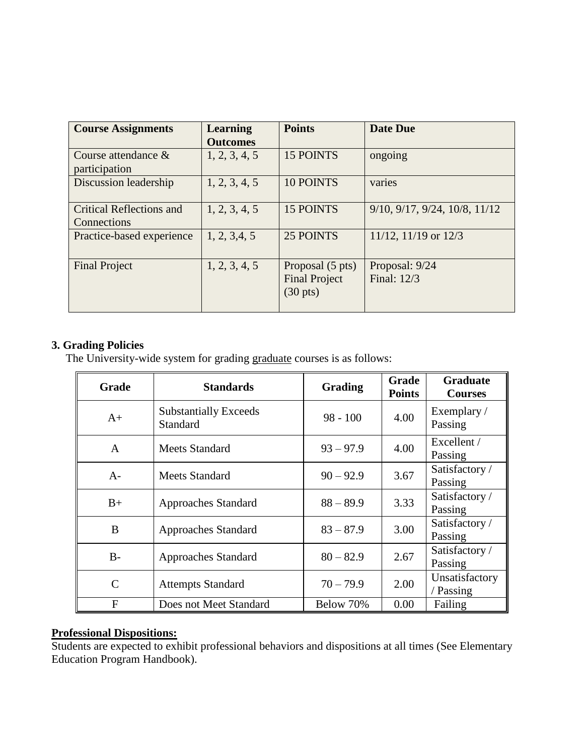| <b>Course Assignments</b>                      | <b>Learning</b><br><b>Outcomes</b> | <b>Points</b>                                                  | <b>Date Due</b>                             |
|------------------------------------------------|------------------------------------|----------------------------------------------------------------|---------------------------------------------|
| Course attendance $\&$<br>participation        | 1, 2, 3, 4, 5                      | 15 POINTS                                                      | ongoing                                     |
| Discussion leadership                          | 1, 2, 3, 4, 5                      | <b>10 POINTS</b>                                               | varies                                      |
| <b>Critical Reflections and</b><br>Connections | 1, 2, 3, 4, 5                      | 15 POINTS                                                      | $9/10$ , $9/17$ , $9/24$ , $10/8$ , $11/12$ |
| Practice-based experience                      | 1, 2, 3, 4, 5                      | 25 POINTS                                                      | $11/12$ , $11/19$ or $12/3$                 |
| <b>Final Project</b>                           | 1, 2, 3, 4, 5                      | Proposal (5 pts)<br><b>Final Project</b><br>$(30 \text{ pts})$ | Proposal: 9/24<br>Final: 12/3               |

### **3. Grading Policies**

The University-wide system for grading graduate courses is as follows:

| <b>Grade</b>  | <b>Standards</b>                                | Grading     | Grade<br><b>Points</b> | <b>Graduate</b><br><b>Courses</b> |
|---------------|-------------------------------------------------|-------------|------------------------|-----------------------------------|
| $A+$          | <b>Substantially Exceeds</b><br><b>Standard</b> | $98 - 100$  | 4.00                   | Exemplary /<br>Passing            |
| A             | <b>Meets Standard</b>                           | $93 - 97.9$ | 4.00                   | Excellent /<br>Passing            |
| $A-$          | Meets Standard                                  | $90 - 92.9$ | 3.67                   | Satisfactory /<br>Passing         |
| $B+$          | <b>Approaches Standard</b>                      | $88 - 89.9$ | 3.33                   | Satisfactory /<br>Passing         |
| B             | <b>Approaches Standard</b>                      | $83 - 87.9$ | 3.00                   | Satisfactory /<br>Passing         |
| $B -$         | <b>Approaches Standard</b>                      | $80 - 82.9$ | 2.67                   | Satisfactory /<br>Passing         |
| $\mathcal{C}$ | <b>Attempts Standard</b>                        | $70 - 79.9$ | 2.00                   | Unsatisfactory<br>/ Passing       |
| F             | Does not Meet Standard                          | Below 70%   | 0.00                   | Failing                           |

### **Professional Dispositions:**

Students are expected to exhibit professional behaviors and dispositions at all times (See Elementary Education Program Handbook).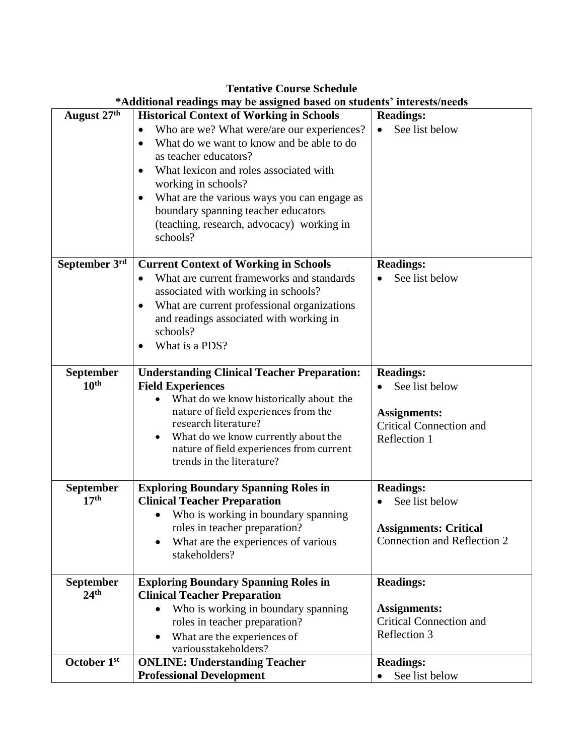|                  | *Additional readings may be assigned based on students' interests/needs          |                                |
|------------------|----------------------------------------------------------------------------------|--------------------------------|
| August 27th      | <b>Historical Context of Working in Schools</b>                                  | <b>Readings:</b>               |
|                  | Who are we? What were/are our experiences?<br>$\bullet$                          | See list below<br>$\bullet$    |
|                  | What do we want to know and be able to do<br>$\bullet$                           |                                |
|                  | as teacher educators?                                                            |                                |
|                  | What lexicon and roles associated with                                           |                                |
|                  | working in schools?                                                              |                                |
|                  | What are the various ways you can engage as<br>$\bullet$                         |                                |
|                  | boundary spanning teacher educators<br>(teaching, research, advocacy) working in |                                |
|                  | schools?                                                                         |                                |
|                  |                                                                                  |                                |
| September 3rd    | <b>Current Context of Working in Schools</b>                                     | <b>Readings:</b>               |
|                  | What are current frameworks and standards                                        | See list below                 |
|                  | associated with working in schools?                                              |                                |
|                  | What are current professional organizations                                      |                                |
|                  | and readings associated with working in                                          |                                |
|                  | schools?                                                                         |                                |
|                  | What is a PDS?                                                                   |                                |
| September        | <b>Understanding Clinical Teacher Preparation:</b>                               | <b>Readings:</b>               |
| 10 <sup>th</sup> | <b>Field Experiences</b>                                                         | See list below                 |
|                  | What do we know historically about the                                           |                                |
|                  | nature of field experiences from the                                             | <b>Assignments:</b>            |
|                  | research literature?                                                             | <b>Critical Connection and</b> |
|                  | What do we know currently about the<br>$\bullet$                                 | Reflection 1                   |
|                  | nature of field experiences from current<br>trends in the literature?            |                                |
|                  |                                                                                  |                                |
| September        | <b>Exploring Boundary Spanning Roles in</b>                                      | <b>Readings:</b>               |
| 17 <sup>th</sup> | <b>Clinical Teacher Preparation</b>                                              | See list below<br>$\bullet$    |
|                  | Who is working in boundary spanning                                              |                                |
|                  | roles in teacher preparation?                                                    | <b>Assignments: Critical</b>   |
|                  | What are the experiences of various<br>$\bullet$                                 | Connection and Reflection 2    |
|                  | stakeholders?                                                                    |                                |
| <b>September</b> | <b>Exploring Boundary Spanning Roles in</b>                                      | <b>Readings:</b>               |
| 24 <sup>th</sup> | <b>Clinical Teacher Preparation</b>                                              |                                |
|                  | Who is working in boundary spanning                                              | <b>Assignments:</b>            |
|                  | roles in teacher preparation?                                                    | <b>Critical Connection and</b> |
|                  | What are the experiences of<br>$\bullet$                                         | Reflection 3                   |
|                  | variousstakeholders?                                                             |                                |
| October 1st      | <b>ONLINE: Understanding Teacher</b>                                             | <b>Readings:</b>               |
|                  | <b>Professional Development</b>                                                  | See list below                 |

#### **Tentative Course Schedule**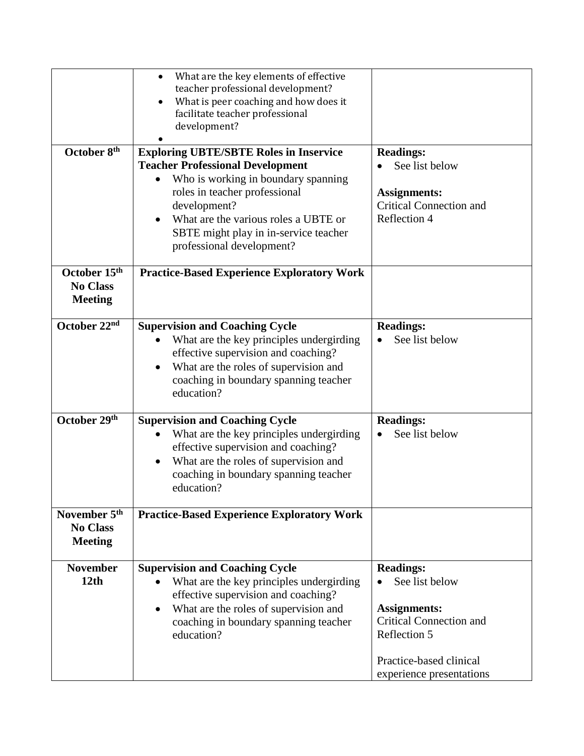| October 8 <sup>th</sup>                                       | What are the key elements of effective<br>teacher professional development?<br>What is peer coaching and how does it<br>facilitate teacher professional<br>development?<br><b>Exploring UBTE/SBTE Roles in Inservice</b><br><b>Teacher Professional Development</b><br>Who is working in boundary spanning<br>roles in teacher professional<br>development?<br>What are the various roles a UBTE or<br>SBTE might play in in-service teacher<br>professional development? | <b>Readings:</b><br>See list below<br><b>Assignments:</b><br><b>Critical Connection and</b><br>Reflection 4                                                        |
|---------------------------------------------------------------|---------------------------------------------------------------------------------------------------------------------------------------------------------------------------------------------------------------------------------------------------------------------------------------------------------------------------------------------------------------------------------------------------------------------------------------------------------------------------|--------------------------------------------------------------------------------------------------------------------------------------------------------------------|
| October 15th<br><b>No Class</b><br><b>Meeting</b>             | <b>Practice-Based Experience Exploratory Work</b>                                                                                                                                                                                                                                                                                                                                                                                                                         |                                                                                                                                                                    |
| October 22nd                                                  | <b>Supervision and Coaching Cycle</b><br>What are the key principles undergirding<br>effective supervision and coaching?<br>What are the roles of supervision and<br>coaching in boundary spanning teacher<br>education?                                                                                                                                                                                                                                                  | <b>Readings:</b><br>See list below                                                                                                                                 |
| October 29th                                                  | <b>Supervision and Coaching Cycle</b><br>What are the key principles undergirding<br>effective supervision and coaching?<br>What are the roles of supervision and<br>$\bullet$<br>coaching in boundary spanning teacher<br>education?                                                                                                                                                                                                                                     | <b>Readings:</b><br>See list below                                                                                                                                 |
| November 5 <sup>th</sup><br><b>No Class</b><br><b>Meeting</b> | <b>Practice-Based Experience Exploratory Work</b>                                                                                                                                                                                                                                                                                                                                                                                                                         |                                                                                                                                                                    |
| <b>November</b><br>12th                                       | <b>Supervision and Coaching Cycle</b><br>What are the key principles undergirding<br>effective supervision and coaching?<br>What are the roles of supervision and<br>$\bullet$<br>coaching in boundary spanning teacher<br>education?                                                                                                                                                                                                                                     | <b>Readings:</b><br>See list below<br><b>Assignments:</b><br><b>Critical Connection and</b><br>Reflection 5<br>Practice-based clinical<br>experience presentations |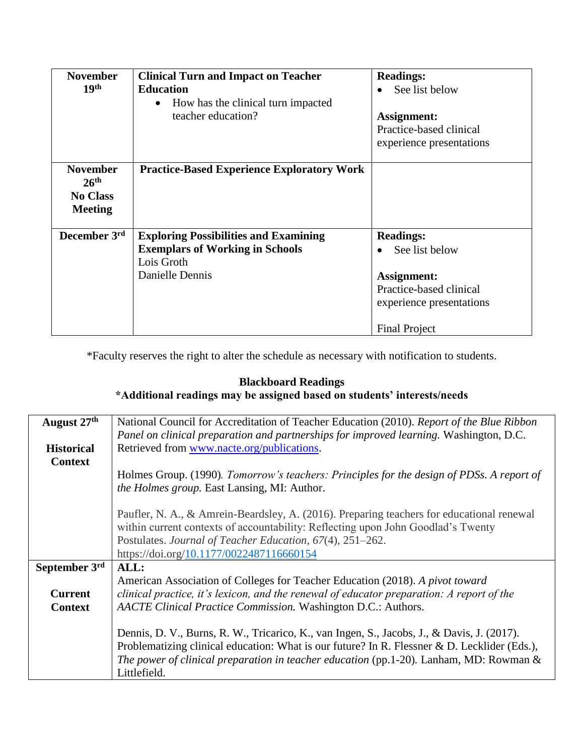| <b>November</b><br>19 <sup>th</sup>                                      | <b>Clinical Turn and Impact on Teacher</b><br><b>Education</b><br>How has the clinical turn impacted<br>$\bullet$<br>teacher education? | <b>Readings:</b><br>See list below<br>Assignment:<br>Practice-based clinical<br>experience presentations                         |
|--------------------------------------------------------------------------|-----------------------------------------------------------------------------------------------------------------------------------------|----------------------------------------------------------------------------------------------------------------------------------|
| <b>November</b><br>26 <sup>th</sup><br><b>No Class</b><br><b>Meeting</b> | <b>Practice-Based Experience Exploratory Work</b>                                                                                       |                                                                                                                                  |
| December 3rd                                                             | <b>Exploring Possibilities and Examining</b><br><b>Exemplars of Working in Schools</b><br>Lois Groth<br>Danielle Dennis                 | <b>Readings:</b><br>See list below<br>Assignment:<br>Practice-based clinical<br>experience presentations<br><b>Final Project</b> |

\*Faculty reserves the right to alter the schedule as necessary with notification to students.

# **Blackboard Readings**

# **\*Additional readings may be assigned based on students' interests/needs**

| August 27 <sup>th</sup> | National Council for Accreditation of Teacher Education (2010). Report of the Blue Ribbon<br>Panel on clinical preparation and partnerships for improved learning. Washington, D.C. |
|-------------------------|-------------------------------------------------------------------------------------------------------------------------------------------------------------------------------------|
| <b>Historical</b>       | Retrieved from www.nacte.org/publications.                                                                                                                                          |
| <b>Context</b>          |                                                                                                                                                                                     |
|                         | Holmes Group. (1990). Tomorrow's teachers: Principles for the design of PDSs. A report of                                                                                           |
|                         | <i>the Holmes group.</i> East Lansing, MI: Author.                                                                                                                                  |
|                         | Paufler, N. A., & Amrein-Beardsley, A. (2016). Preparing teachers for educational renewal                                                                                           |
|                         | within current contexts of accountability: Reflecting upon John Goodlad's Twenty                                                                                                    |
|                         | Postulates. Journal of Teacher Education, 67(4), 251–262.                                                                                                                           |
|                         | https://doi.org/10.1177/0022487116660154                                                                                                                                            |
| September 3rd           | ALL:                                                                                                                                                                                |
|                         | American Association of Colleges for Teacher Education (2018). A pivot toward                                                                                                       |
| <b>Current</b>          | clinical practice, it's lexicon, and the renewal of educator preparation: A report of the                                                                                           |
| <b>Context</b>          | AACTE Clinical Practice Commission. Washington D.C.: Authors.                                                                                                                       |
|                         |                                                                                                                                                                                     |
|                         | Dennis, D. V., Burns, R. W., Tricarico, K., van Ingen, S., Jacobs, J., & Davis, J. (2017).                                                                                          |
|                         | Problematizing clinical education: What is our future? In R. Flessner & D. Lecklider (Eds.),                                                                                        |
|                         | <i>The power of clinical preparation in teacher education</i> (pp.1-20). Lanham, MD: Rowman &                                                                                       |
|                         | Littlefield.                                                                                                                                                                        |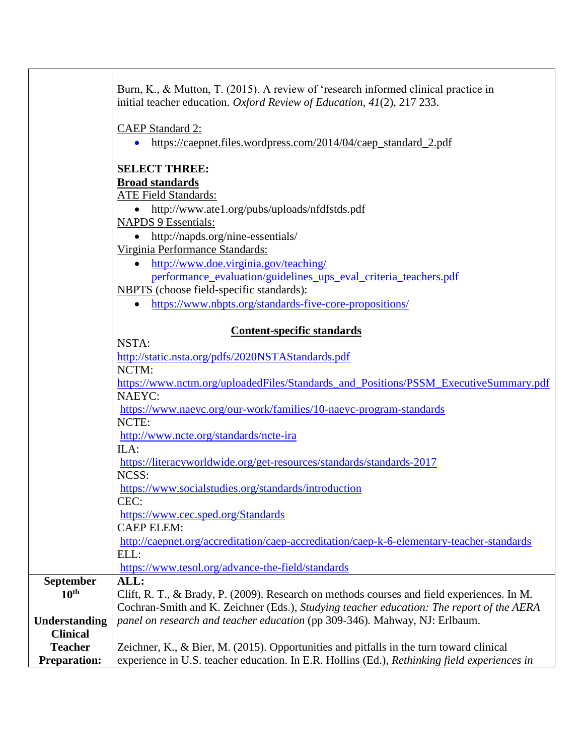|                                       | Burn, K., & Mutton, T. (2015). A review of 'research informed clinical practice in                                                                                                      |
|---------------------------------------|-----------------------------------------------------------------------------------------------------------------------------------------------------------------------------------------|
|                                       | initial teacher education. Oxford Review of Education, 41(2), 217 233.                                                                                                                  |
|                                       | <b>CAEP Standard 2:</b>                                                                                                                                                                 |
|                                       | • https://caepnet.files.wordpress.com/2014/04/caep_standard_2.pdf                                                                                                                       |
|                                       |                                                                                                                                                                                         |
|                                       | <b>SELECT THREE:</b>                                                                                                                                                                    |
|                                       | <b>Broad standards</b>                                                                                                                                                                  |
|                                       | <b>ATE Field Standards:</b>                                                                                                                                                             |
|                                       | http://www.ate1.org/pubs/uploads/nfdfstds.pdf<br>$\bullet$                                                                                                                              |
|                                       | <b>NAPDS 9 Essentials:</b>                                                                                                                                                              |
|                                       | http://napds.org/nine-essentials/                                                                                                                                                       |
|                                       | Virginia Performance Standards:                                                                                                                                                         |
|                                       | • http://www.doe.virginia.gov/teaching/                                                                                                                                                 |
|                                       | performance_evaluation/guidelines_ups_eval_criteria_teachers.pdf<br><b>NBPTS</b> (choose field-specific standards):                                                                     |
|                                       | • https://www.nbpts.org/standards-five-core-propositions/                                                                                                                               |
|                                       |                                                                                                                                                                                         |
|                                       | <b>Content-specific standards</b>                                                                                                                                                       |
|                                       | NSTA:                                                                                                                                                                                   |
|                                       | http://static.nsta.org/pdfs/2020NSTAStandards.pdf                                                                                                                                       |
|                                       | NCTM:                                                                                                                                                                                   |
|                                       | https://www.nctm.org/uploadedFiles/Standards_and_Positions/PSSM_ExecutiveSummary.pdf                                                                                                    |
|                                       | <b>NAEYC:</b><br>https://www.naeyc.org/our-work/families/10-naeyc-program-standards                                                                                                     |
|                                       | NCTE:                                                                                                                                                                                   |
|                                       | http://www.ncte.org/standards/ncte-ira                                                                                                                                                  |
|                                       | ILA:                                                                                                                                                                                    |
|                                       | https://literacyworldwide.org/get-resources/standards/standards-2017                                                                                                                    |
|                                       | NCSS:                                                                                                                                                                                   |
|                                       | https://www.socialstudies.org/standards/introduction                                                                                                                                    |
|                                       | CEC:                                                                                                                                                                                    |
|                                       | https://www.cec.sped.org/Standards<br><b>CAEP ELEM:</b>                                                                                                                                 |
|                                       | http://caepnet.org/accreditation/caep-accreditation/caep-k-6-elementary-teacher-standards                                                                                               |
|                                       | ELL:                                                                                                                                                                                    |
|                                       | https://www.tesol.org/advance-the-field/standards                                                                                                                                       |
| <b>September</b>                      | ALL:                                                                                                                                                                                    |
| 10 <sup>th</sup>                      | Clift, R. T., & Brady, P. (2009). Research on methods courses and field experiences. In M.                                                                                              |
|                                       | Cochran-Smith and K. Zeichner (Eds.), Studying teacher education: The report of the AERA                                                                                                |
| <b>Understanding</b>                  | panel on research and teacher education (pp 309-346). Mahway, NJ: Erlbaum.                                                                                                              |
| <b>Clinical</b>                       |                                                                                                                                                                                         |
| <b>Teacher</b><br><b>Preparation:</b> | Zeichner, K., & Bier, M. (2015). Opportunities and pitfalls in the turn toward clinical<br>experience in U.S. teacher education. In E.R. Hollins (Ed.), Rethinking field experiences in |
|                                       |                                                                                                                                                                                         |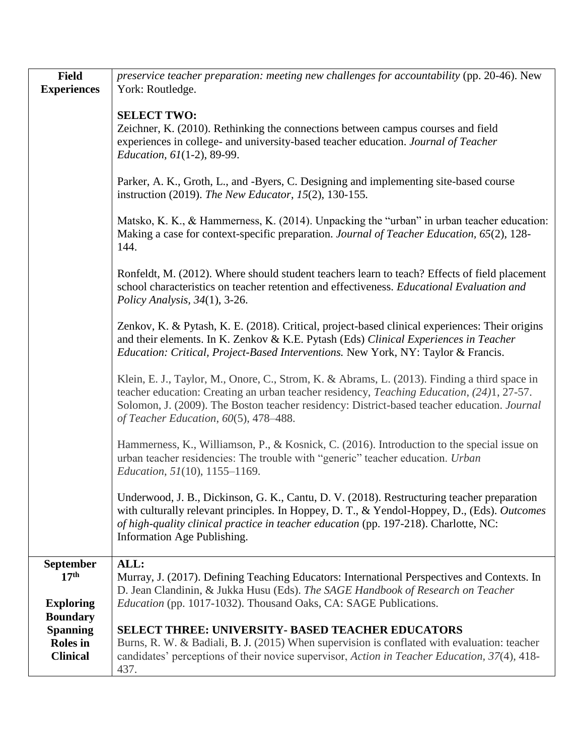| <b>Field</b><br><b>Experiences</b>                                       | preservice teacher preparation: meeting new challenges for accountability (pp. 20-46). New<br>York: Routledge.                                                                                                                                                                                                                               |
|--------------------------------------------------------------------------|----------------------------------------------------------------------------------------------------------------------------------------------------------------------------------------------------------------------------------------------------------------------------------------------------------------------------------------------|
|                                                                          | <b>SELECT TWO:</b><br>Zeichner, K. (2010). Rethinking the connections between campus courses and field<br>experiences in college- and university-based teacher education. Journal of Teacher<br><i>Education, 61</i> (1-2), 89-99.                                                                                                           |
|                                                                          | Parker, A. K., Groth, L., and -Byers, C. Designing and implementing site-based course<br>instruction (2019). The New Educator, 15(2), 130-155.                                                                                                                                                                                               |
|                                                                          | Matsko, K. K., & Hammerness, K. (2014). Unpacking the "urban" in urban teacher education:<br>Making a case for context-specific preparation. Journal of Teacher Education, 65(2), 128-<br>144.                                                                                                                                               |
|                                                                          | Ronfeldt, M. (2012). Where should student teachers learn to teach? Effects of field placement<br>school characteristics on teacher retention and effectiveness. Educational Evaluation and<br>Policy Analysis, $34(1)$ , 3-26.                                                                                                               |
|                                                                          | Zenkov, K. & Pytash, K. E. (2018). Critical, project-based clinical experiences: Their origins<br>and their elements. In K. Zenkov & K.E. Pytash (Eds) Clinical Experiences in Teacher<br>Education: Critical, Project-Based Interventions. New York, NY: Taylor & Francis.                                                                  |
|                                                                          | Klein, E. J., Taylor, M., Onore, C., Strom, K. & Abrams, L. (2013). Finding a third space in<br>teacher education: Creating an urban teacher residency, <i>Teaching Education</i> , (24)1, 27-57.<br>Solomon, J. (2009). The Boston teacher residency: District-based teacher education. Journal<br>of Teacher Education, $60(5)$ , 478-488. |
|                                                                          | Hammerness, K., Williamson, P., & Kosnick, C. (2016). Introduction to the special issue on<br>urban teacher residencies: The trouble with "generic" teacher education. Urban<br><i>Education, 51</i> (10), 1155–1169.                                                                                                                        |
|                                                                          | Underwood, J. B., Dickinson, G. K., Cantu, D. V. (2018). Restructuring teacher preparation<br>with culturally relevant principles. In Hoppey, D. T., & Yendol-Hoppey, D., (Eds). Outcomes<br>of high-quality clinical practice in teacher education (pp. 197-218). Charlotte, NC:<br>Information Age Publishing.                             |
| September<br>17 <sup>th</sup><br><b>Exploring</b>                        | ALL:<br>Murray, J. (2017). Defining Teaching Educators: International Perspectives and Contexts. In<br>D. Jean Clandinin, & Jukka Husu (Eds). The SAGE Handbook of Research on Teacher<br>Education (pp. 1017-1032). Thousand Oaks, CA: SAGE Publications.                                                                                   |
| <b>Boundary</b><br><b>Spanning</b><br><b>Roles</b> in<br><b>Clinical</b> | <b>SELECT THREE: UNIVERSITY- BASED TEACHER EDUCATORS</b><br>Burns, R. W. & Badiali, B. J. (2015) When supervision is conflated with evaluation: teacher<br>candidates' perceptions of their novice supervisor, Action in Teacher Education, 37(4), 418-<br>437.                                                                              |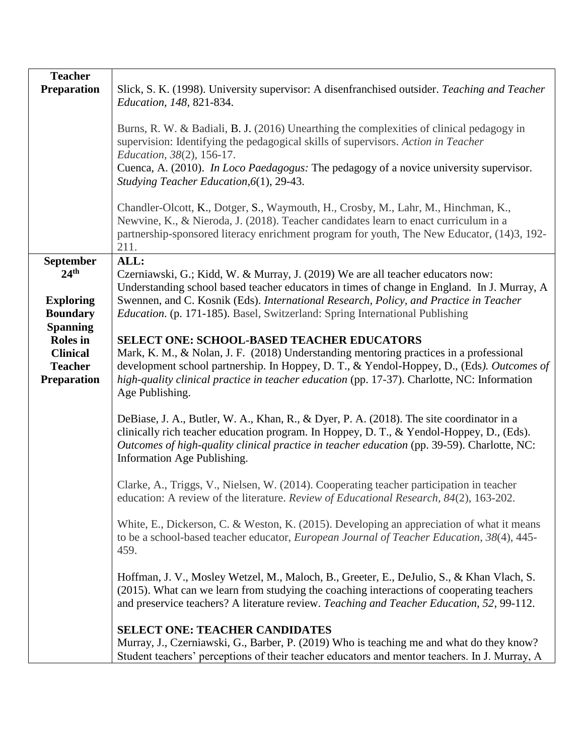| <b>Teacher</b><br><b>Preparation</b>                                                                                                                                         | Slick, S. K. (1998). University supervisor: A disenfranchised outsider. Teaching and Teacher<br><i>Education, 148, 821-834.</i><br>Burns, R. W. & Badiali, B. J. (2016) Unearthing the complexities of clinical pedagogy in<br>supervision: Identifying the pedagogical skills of supervisors. Action in Teacher<br><i>Education, 38(2), 156-17.</i><br>Cuenca, A. (2010). In Loco Paedagogus: The pedagogy of a novice university supervisor.<br>Studying Teacher Education, 6(1), 29-43.<br>Chandler-Olcott, K., Dotger, S., Waymouth, H., Crosby, M., Lahr, M., Hinchman, K.,<br>Newvine, K., & Nieroda, J. (2018). Teacher candidates learn to enact curriculum in a<br>partnership-sponsored literacy enrichment program for youth, The New Educator, (14)3, 192-<br>211.                                                                                                                                                                                                                                                                                                                                                                      |
|------------------------------------------------------------------------------------------------------------------------------------------------------------------------------|-----------------------------------------------------------------------------------------------------------------------------------------------------------------------------------------------------------------------------------------------------------------------------------------------------------------------------------------------------------------------------------------------------------------------------------------------------------------------------------------------------------------------------------------------------------------------------------------------------------------------------------------------------------------------------------------------------------------------------------------------------------------------------------------------------------------------------------------------------------------------------------------------------------------------------------------------------------------------------------------------------------------------------------------------------------------------------------------------------------------------------------------------------|
| <b>September</b><br>24 <sup>th</sup><br><b>Exploring</b><br><b>Boundary</b><br><b>Spanning</b><br><b>Roles</b> in<br><b>Clinical</b><br><b>Teacher</b><br><b>Preparation</b> | ALL:<br>Czerniawski, G.; Kidd, W. & Murray, J. (2019) We are all teacher educators now:<br>Understanding school based teacher educators in times of change in England. In J. Murray, A<br>Swennen, and C. Kosnik (Eds). International Research, Policy, and Practice in Teacher<br><i>Education.</i> (p. 171-185). Basel, Switzerland: Spring International Publishing<br><b>SELECT ONE: SCHOOL-BASED TEACHER EDUCATORS</b><br>Mark, K. M., & Nolan, J. F. (2018) Understanding mentoring practices in a professional<br>development school partnership. In Hoppey, D. T., & Yendol-Hoppey, D., (Eds). Outcomes of<br>high-quality clinical practice in teacher education (pp. 17-37). Charlotte, NC: Information<br>Age Publishing.<br>DeBiase, J. A., Butler, W. A., Khan, R., & Dyer, P. A. (2018). The site coordinator in a                                                                                                                                                                                                                                                                                                                    |
|                                                                                                                                                                              | clinically rich teacher education program. In Hoppey, D. T., & Yendol-Hoppey, D., (Eds).<br>Outcomes of high-quality clinical practice in teacher education (pp. 39-59). Charlotte, NC:<br>Information Age Publishing.<br>Clarke, A., Triggs, V., Nielsen, W. (2014). Cooperating teacher participation in teacher<br>education: A review of the literature. Review of Educational Research, 84(2), 163-202.<br>White, E., Dickerson, C. & Weston, K. (2015). Developing an appreciation of what it means<br>to be a school-based teacher educator, <i>European Journal of Teacher Education</i> , 38(4), 445-<br>459.<br>Hoffman, J. V., Mosley Wetzel, M., Maloch, B., Greeter, E., DeJulio, S., & Khan Vlach, S.<br>(2015). What can we learn from studying the coaching interactions of cooperating teachers<br>and preservice teachers? A literature review. Teaching and Teacher Education, 52, 99-112.<br><b>SELECT ONE: TEACHER CANDIDATES</b><br>Murray, J., Czerniawski, G., Barber, P. (2019) Who is teaching me and what do they know?<br>Student teachers' perceptions of their teacher educators and mentor teachers. In J. Murray, A |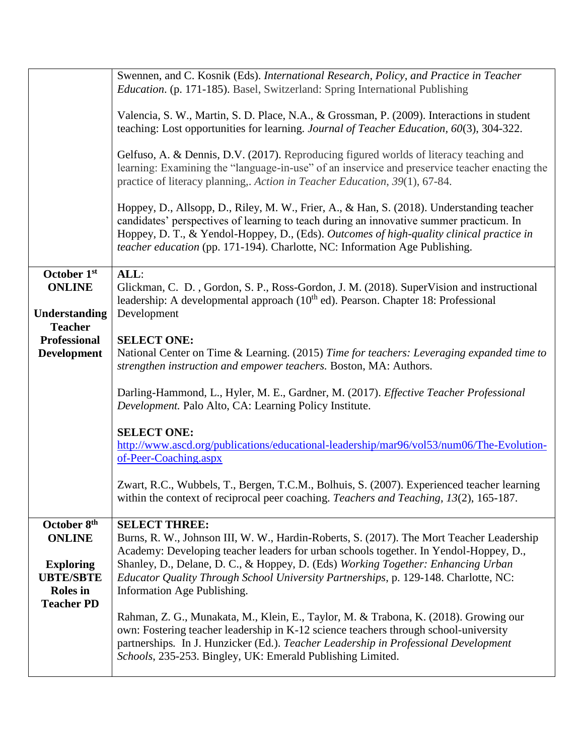|                                                         | Swennen, and C. Kosnik (Eds). International Research, Policy, and Practice in Teacher<br><i>Education.</i> (p. 171-185). Basel, Switzerland: Spring International Publishing                                                                                                                                                                                    |
|---------------------------------------------------------|-----------------------------------------------------------------------------------------------------------------------------------------------------------------------------------------------------------------------------------------------------------------------------------------------------------------------------------------------------------------|
|                                                         | Valencia, S. W., Martin, S. D. Place, N.A., & Grossman, P. (2009). Interactions in student<br>teaching: Lost opportunities for learning. Journal of Teacher Education, 60(3), 304-322.                                                                                                                                                                          |
|                                                         | Gelfuso, A. & Dennis, D.V. (2017). Reproducing figured worlds of literacy teaching and<br>learning: Examining the "language-in-use" of an inservice and preservice teacher enacting the<br>practice of literacy planning,. Action in Teacher Education, 39(1), 67-84.                                                                                           |
|                                                         | Hoppey, D., Allsopp, D., Riley, M. W., Frier, A., & Han, S. (2018). Understanding teacher<br>candidates' perspectives of learning to teach during an innovative summer practicum. In<br>Hoppey, D. T., & Yendol-Hoppey, D., (Eds). Outcomes of high-quality clinical practice in<br>teacher education (pp. 171-194). Charlotte, NC: Information Age Publishing. |
| October 1st                                             | ALL:                                                                                                                                                                                                                                                                                                                                                            |
| <b>ONLINE</b>                                           | Glickman, C. D., Gordon, S. P., Ross-Gordon, J. M. (2018). SuperVision and instructional<br>leadership: A developmental approach $(10th$ ed). Pearson. Chapter 18: Professional                                                                                                                                                                                 |
| Understanding                                           | Development                                                                                                                                                                                                                                                                                                                                                     |
| <b>Teacher</b>                                          |                                                                                                                                                                                                                                                                                                                                                                 |
| <b>Professional</b><br><b>Development</b>               | <b>SELECT ONE:</b><br>National Center on Time & Learning. (2015) Time for teachers: Leveraging expanded time to<br>strengthen instruction and empower teachers. Boston, MA: Authors.                                                                                                                                                                            |
|                                                         | Darling-Hammond, L., Hyler, M. E., Gardner, M. (2017). Effective Teacher Professional<br>Development. Palo Alto, CA: Learning Policy Institute.                                                                                                                                                                                                                 |
|                                                         | <b>SELECT ONE:</b><br>http://www.ascd.org/publications/educational-leadership/mar96/vol53/num06/The-Evolution-<br>of-Peer-Coaching.aspx                                                                                                                                                                                                                         |
|                                                         | Zwart, R.C., Wubbels, T., Bergen, T.C.M., Bolhuis, S. (2007). Experienced teacher learning<br>within the context of reciprocal peer coaching. Teachers and Teaching, 13(2), 165-187.                                                                                                                                                                            |
| October 8 <sup>th</sup><br><b>ONLINE</b>                | <b>SELECT THREE:</b><br>Burns, R. W., Johnson III, W. W., Hardin-Roberts, S. (2017). The Mort Teacher Leadership<br>Academy: Developing teacher leaders for urban schools together. In Yendol-Hoppey, D.,                                                                                                                                                       |
| <b>Exploring</b><br><b>UBTE/SBTE</b><br><b>Roles</b> in | Shanley, D., Delane, D. C., & Hoppey, D. (Eds) Working Together: Enhancing Urban<br>Educator Quality Through School University Partnerships, p. 129-148. Charlotte, NC:<br>Information Age Publishing.                                                                                                                                                          |
| <b>Teacher PD</b>                                       | Rahman, Z. G., Munakata, M., Klein, E., Taylor, M. & Trabona, K. (2018). Growing our<br>own: Fostering teacher leadership in K-12 science teachers through school-university<br>partnerships. In J. Hunzicker (Ed.). Teacher Leadership in Professional Development<br>Schools, 235-253. Bingley, UK: Emerald Publishing Limited.                               |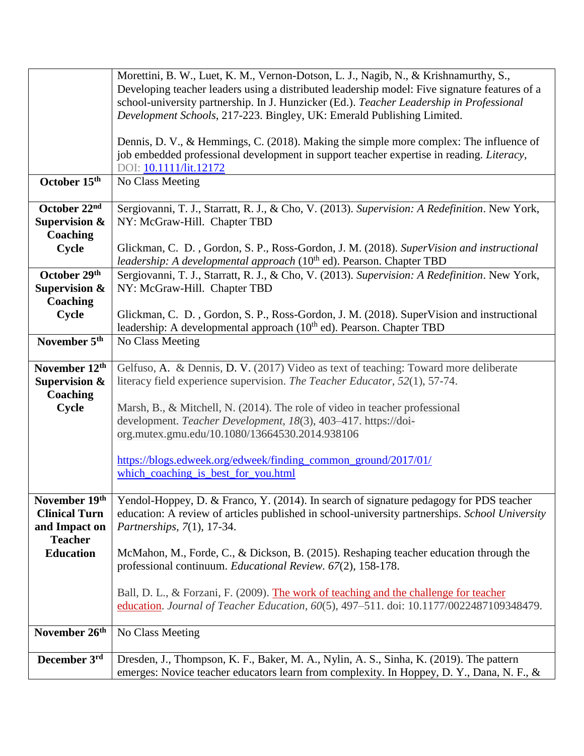|                          | Morettini, B. W., Luet, K. M., Vernon-Dotson, L. J., Nagib, N., & Krishnamurthy, S.,           |
|--------------------------|------------------------------------------------------------------------------------------------|
|                          | Developing teacher leaders using a distributed leadership model: Five signature features of a  |
|                          | school-university partnership. In J. Hunzicker (Ed.). Teacher Leadership in Professional       |
|                          | Development Schools, 217-223. Bingley, UK: Emerald Publishing Limited.                         |
|                          |                                                                                                |
|                          | Dennis, D. V., & Hemmings, C. (2018). Making the simple more complex: The influence of         |
|                          | job embedded professional development in support teacher expertise in reading. Literacy,       |
|                          | DOI: 10.1111/lit.12172                                                                         |
| October 15th             | No Class Meeting                                                                               |
|                          |                                                                                                |
| October 22nd             | Sergiovanni, T. J., Starratt, R. J., & Cho, V. (2013). Supervision: A Redefinition. New York,  |
| <b>Supervision &amp;</b> | NY: McGraw-Hill. Chapter TBD                                                                   |
|                          |                                                                                                |
| Coaching                 |                                                                                                |
| Cycle                    | Glickman, C. D., Gordon, S. P., Ross-Gordon, J. M. (2018). SuperVision and instructional       |
|                          | leadership: A developmental approach (10 <sup>th</sup> ed). Pearson. Chapter TBD               |
| October 29th             | Sergiovanni, T. J., Starratt, R. J., & Cho, V. (2013). Supervision: A Redefinition. New York,  |
| <b>Supervision &amp;</b> | NY: McGraw-Hill. Chapter TBD                                                                   |
| Coaching                 |                                                                                                |
| <b>Cycle</b>             | Glickman, C. D., Gordon, S. P., Ross-Gordon, J. M. (2018). SuperVision and instructional       |
|                          | leadership: A developmental approach $(10th$ ed). Pearson. Chapter TBD                         |
| November 5 <sup>th</sup> | No Class Meeting                                                                               |
|                          |                                                                                                |
| November 12th            | Gelfuso, A. & Dennis, D. V. (2017) Video as text of teaching: Toward more deliberate           |
| <b>Supervision &amp;</b> | literacy field experience supervision. The Teacher Educator, 52(1), 57-74.                     |
| Coaching                 |                                                                                                |
| Cycle                    | Marsh, B., & Mitchell, N. (2014). The role of video in teacher professional                    |
|                          | development. Teacher Development, 18(3), 403-417. https://doi-                                 |
|                          | org.mutex.gmu.edu/10.1080/13664530.2014.938106                                                 |
|                          |                                                                                                |
|                          | https://blogs.edweek.org/edweek/finding_common_ground/2017/01/                                 |
|                          | which_coaching_is_best_for_you.html                                                            |
|                          |                                                                                                |
| November 19th            | Yendol-Hoppey, D. & Franco, Y. (2014). In search of signature pedagogy for PDS teacher         |
| <b>Clinical Turn</b>     | education: A review of articles published in school-university partnerships. School University |
|                          |                                                                                                |
| and Impact on            | Partnerships, 7(1), 17-34.                                                                     |
| <b>Teacher</b>           |                                                                                                |
| <b>Education</b>         | McMahon, M., Forde, C., & Dickson, B. (2015). Reshaping teacher education through the          |
|                          | professional continuum. Educational Review. 67(2), 158-178.                                    |
|                          |                                                                                                |
|                          | Ball, D. L., & Forzani, F. (2009). The work of teaching and the challenge for teacher          |
|                          | education. Journal of Teacher Education, 60(5), 497-511. doi: 10.1177/0022487109348479.        |
|                          |                                                                                                |
| November 26th            | No Class Meeting                                                                               |
|                          |                                                                                                |
| December 3rd             | Dresden, J., Thompson, K. F., Baker, M. A., Nylin, A. S., Sinha, K. (2019). The pattern        |
|                          | emerges: Novice teacher educators learn from complexity. In Hoppey, D. Y., Dana, N. F., &      |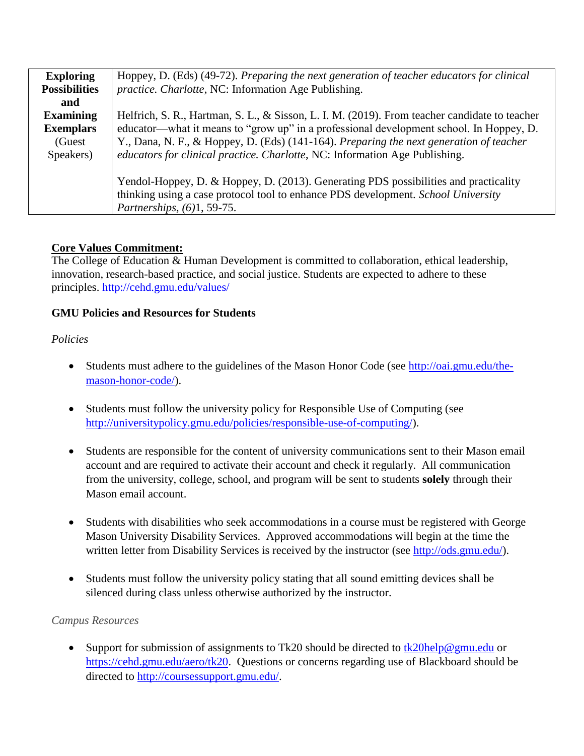| <b>Exploring</b>     | Hoppey, D. (Eds) (49-72). Preparing the next generation of teacher educators for clinical     |
|----------------------|-----------------------------------------------------------------------------------------------|
| <b>Possibilities</b> | <i>practice. Charlotte, NC: Information Age Publishing.</i>                                   |
| and                  |                                                                                               |
| <b>Examining</b>     | Helfrich, S. R., Hartman, S. L., & Sisson, L. I. M. (2019). From teacher candidate to teacher |
| <b>Exemplars</b>     | educator—what it means to "grow up" in a professional development school. In Hoppey, D.       |
| (Guest               | Y., Dana, N. F., & Hoppey, D. (Eds) (141-164). Preparing the next generation of teacher       |
| Speakers)            | educators for clinical practice. Charlotte, NC: Information Age Publishing.                   |
|                      |                                                                                               |
|                      | Yendol-Hoppey, D. & Hoppey, D. (2013). Generating PDS possibilities and practicality          |
|                      | thinking using a case protocol tool to enhance PDS development. School University             |
|                      | Partnerships, $(6)1, 59-75$ .                                                                 |

### **Core Values Commitment:**

The College of Education & Human Development is committed to collaboration, ethical leadership, innovation, research-based practice, and social justice. Students are expected to adhere to these principles.<http://cehd.gmu.edu/values/>

### **GMU Policies and Resources for Students**

### *Policies*

- Students must adhere to the guidelines of the Mason Honor Code (see [http://oai.gmu.edu/the](http://oai.gmu.edu/the-mason-honor-code/)[mason-honor-code/\)](http://oai.gmu.edu/the-mason-honor-code/).
- Students must follow the university policy for Responsible Use of Computing (see [http://universitypolicy.gmu.edu/policies/responsible-use-of-computing/\)](http://universitypolicy.gmu.edu/policies/responsible-use-of-computing/).
- Students are responsible for the content of university communications sent to their Mason email account and are required to activate their account and check it regularly. All communication from the university, college, school, and program will be sent to students **solely** through their Mason email account.
- Students with disabilities who seek accommodations in a course must be registered with George Mason University Disability Services. Approved accommodations will begin at the time the written letter from Disability Services is received by the instructor (see [http://ods.gmu.edu/\)](http://ods.gmu.edu/).
- Students must follow the university policy stating that all sound emitting devices shall be silenced during class unless otherwise authorized by the instructor.

### *Campus Resources*

Support for submission of assignments to Tk20 should be directed to  $\frac{tk20\text{help@gmu.edu}}{tk20\text{help@gmu.edu}}$ [https://cehd.gmu.edu/aero/tk20.](https://cehd.gmu.edu/aero/tk20) Questions or concerns regarding use of Blackboard should be directed to [http://coursessupport.gmu.edu/.](http://coursessupport.gmu.edu/)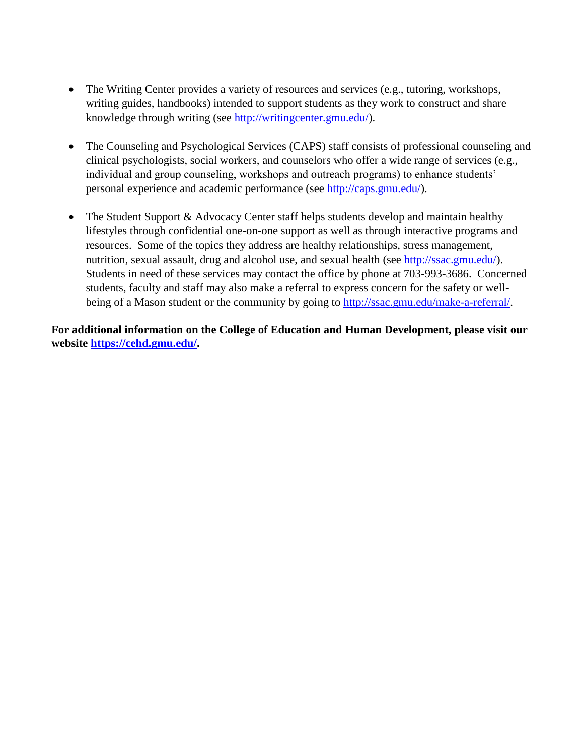- The Writing Center provides a variety of resources and services (e.g., tutoring, workshops, writing guides, handbooks) intended to support students as they work to construct and share knowledge through writing (see [http://writingcenter.gmu.edu/\)](http://writingcenter.gmu.edu/).
- The Counseling and Psychological Services (CAPS) staff consists of professional counseling and clinical psychologists, social workers, and counselors who offer a wide range of services (e.g., individual and group counseling, workshops and outreach programs) to enhance students' personal experience and academic performance (see [http://caps.gmu.edu/\)](http://caps.gmu.edu/).
- The Student Support & Advocacy Center staff helps students develop and maintain healthy lifestyles through confidential one-on-one support as well as through interactive programs and resources. Some of the topics they address are healthy relationships, stress management, nutrition, sexual assault, drug and alcohol use, and sexual health (see [http://ssac.gmu.edu/\)](http://ssac.gmu.edu/). Students in need of these services may contact the office by phone at 703-993-3686. Concerned students, faculty and staff may also make a referral to express concern for the safety or wellbeing of a Mason student or the community by going to [http://ssac.gmu.edu/make-a-referral/.](http://ssac.gmu.edu/make-a-referral/)

**For additional information on the College of Education and Human Development, please visit our website [https://cehd.gmu.edu/.](https://cehd.gmu.edu/)**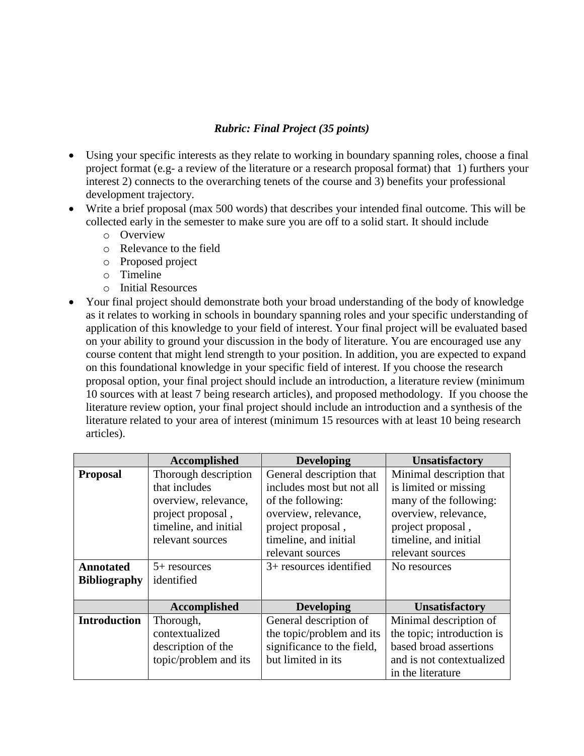## *Rubric: Final Project (35 points)*

- Using your specific interests as they relate to working in boundary spanning roles, choose a final project format (e.g- a review of the literature or a research proposal format) that 1) furthers your interest 2) connects to the overarching tenets of the course and 3) benefits your professional development trajectory.
- Write a brief proposal (max 500 words) that describes your intended final outcome. This will be collected early in the semester to make sure you are off to a solid start. It should include
	- o Overview
	- o Relevance to the field
	- o Proposed project
	- o Timeline
	- o Initial Resources
- Your final project should demonstrate both your broad understanding of the body of knowledge as it relates to working in schools in boundary spanning roles and your specific understanding of application of this knowledge to your field of interest. Your final project will be evaluated based on your ability to ground your discussion in the body of literature. You are encouraged use any course content that might lend strength to your position. In addition, you are expected to expand on this foundational knowledge in your specific field of interest. If you choose the research proposal option, your final project should include an introduction, a literature review (minimum 10 sources with at least 7 being research articles), and proposed methodology. If you choose the literature review option, your final project should include an introduction and a synthesis of the literature related to your area of interest (minimum 15 resources with at least 10 being research articles).

|                     | Accomplished          | <b>Developing</b>          | <b>Unsatisfactory</b>      |
|---------------------|-----------------------|----------------------------|----------------------------|
| <b>Proposal</b>     | Thorough description  | General description that   | Minimal description that   |
|                     | that includes         | includes most but not all  | is limited or missing      |
|                     | overview, relevance,  | of the following:          | many of the following:     |
|                     | project proposal,     | overview, relevance,       | overview, relevance,       |
|                     | timeline, and initial | project proposal,          | project proposal,          |
|                     | relevant sources      | timeline, and initial      | timeline, and initial      |
|                     |                       | relevant sources           | relevant sources           |
| <b>Annotated</b>    | $5+$ resources        | $3+$ resources identified  | No resources               |
| <b>Bibliography</b> | identified            |                            |                            |
|                     |                       |                            |                            |
|                     | Accomplished          | <b>Developing</b>          | <b>Unsatisfactory</b>      |
| <b>Introduction</b> | Thorough,             | General description of     | Minimal description of     |
|                     | contextualized        | the topic/problem and its  | the topic; introduction is |
|                     | description of the    | significance to the field, | based broad assertions     |
|                     | topic/problem and its | but limited in its         | and is not contextualized  |
|                     |                       |                            | in the literature          |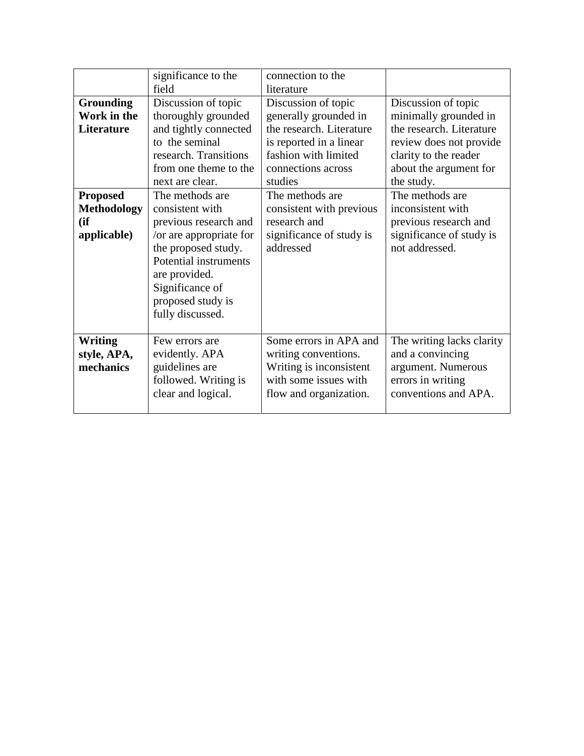|                    | significance to the     | connection to the        |                           |
|--------------------|-------------------------|--------------------------|---------------------------|
|                    | field                   | literature               |                           |
| <b>Grounding</b>   | Discussion of topic     | Discussion of topic      | Discussion of topic       |
| Work in the        | thoroughly grounded     | generally grounded in    | minimally grounded in     |
| Literature         | and tightly connected   | the research. Literature | the research. Literature  |
|                    | to the seminal          | is reported in a linear  | review does not provide   |
|                    | research. Transitions   | fashion with limited     | clarity to the reader     |
|                    | from one theme to the   | connections across       | about the argument for    |
|                    | next are clear.         | studies                  | the study.                |
| <b>Proposed</b>    | The methods are         | The methods are          | The methods are           |
| <b>Methodology</b> | consistent with         | consistent with previous | inconsistent with         |
| (ii)               | previous research and   | research and             | previous research and     |
| applicable)        | /or are appropriate for | significance of study is | significance of study is  |
|                    | the proposed study.     | addressed                | not addressed.            |
|                    | Potential instruments   |                          |                           |
|                    | are provided.           |                          |                           |
|                    | Significance of         |                          |                           |
|                    | proposed study is       |                          |                           |
|                    | fully discussed.        |                          |                           |
|                    |                         |                          |                           |
| <b>Writing</b>     | Few errors are          | Some errors in APA and   | The writing lacks clarity |
| style, APA,        | evidently. APA          | writing conventions.     | and a convincing          |
| mechanics          | guidelines are          | Writing is inconsistent  | argument. Numerous        |
|                    | followed. Writing is    | with some issues with    | errors in writing         |
|                    | clear and logical.      | flow and organization.   | conventions and APA.      |
|                    |                         |                          |                           |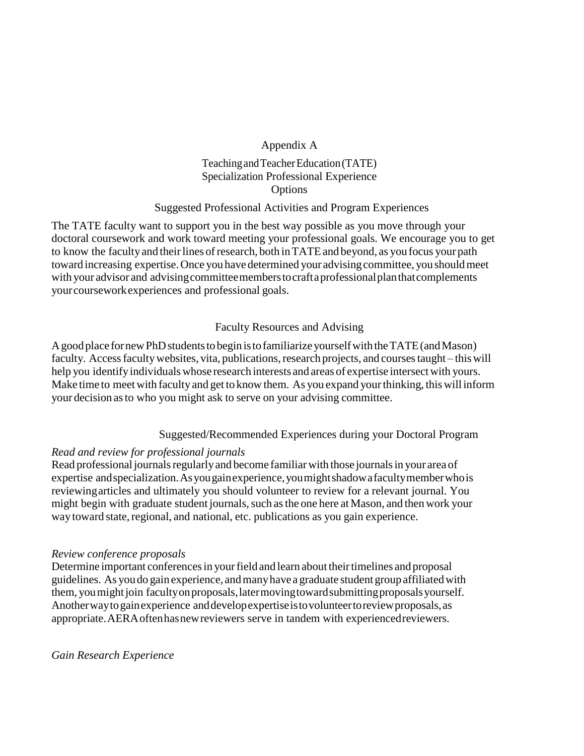#### Appendix A

#### Teaching and Teacher Education (TATE) Specialization Professional Experience Options

#### Suggested Professional Activities and Program Experiences

The TATE faculty want to support you in the best way possible as you move through your doctoral coursework and work toward meeting your professional goals. We encourage you to get to know the faculty and their lines of research, both in TATE and beyond, as you focus your path toward increasing expertise.Once youhave determined your advisingcommittee, you shouldmeet with your advisor and advising committee members to craft a professional plan that complements yourcourseworkexperiences and professional goals.

#### Faculty Resources and Advising

A good place for new PhD students to begin is to familiarize yourself with the TATE (and Mason) faculty. Access faculty websites, vita, publications, research projects, and courses taught – this will help you identify individuals whose research interests and areas of expertise intersect with yours. Make time to meetwith faculty and get to know them. As you expand yourthinking, this will inform your decision asto who you might ask to serve on your advising committee.

### Suggested/Recommended Experiences during your Doctoral Program

### *Read and review for professional journals*

Read professional journals regularly and become familiar with those journals in your area of expertise andspecialization.Asyougainexperience,youmightshadowafacultymemberwhois reviewingarticles and ultimately you should volunteer to review for a relevant journal. You might begin with graduate student journals, such as the one here at Mason, and then work your way toward state, regional, and national, etc. publications as you gain experience.

#### *Review conference proposals*

Determine important conferences in your field and learn about their timelines and proposal guidelines. As youdo gainexperience, andmanyhave a graduate student groupaffiliatedwith them, you might join faculty on proposals, later moving toward submitting proposals yourself. Anotherwaytogainexperience anddevelopexpertiseistovolunteertoreviewproposals,as appropriate.AERAoftenhasnewreviewers serve in tandem with experiencedreviewers.

#### *Gain Research Experience*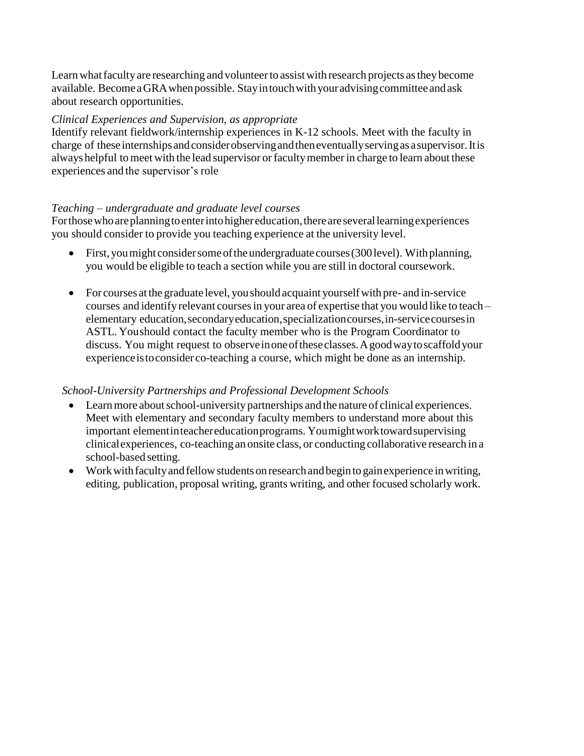Learn what faculty are researching and volunteer to assist with research projects as they become available. BecomeaGRAwhenpossible. Stayintouchwithyouradvisingcommittee andask about research opportunities.

#### *Clinical Experiences and Supervision, as appropriate*

Identify relevant fieldwork/internship experiences in K-12 schools. Meet with the faculty in charge of theseinternshipsandconsiderobservingandtheneventuallyservingasasupervisor.Itis always helpful to meet with the lead supervisor or faculty member in charge to learn about these experiences and the supervisor's role

#### *Teaching – undergraduate and graduate level courses*

For those who are planning to enter into higher education, there are several learning experiences you should consider to provide you teaching experience at the university level.

- First, youmight considersomeoftheundergraduate courses(300level). Withplanning, you would be eligible to teach a section while you are still in doctoral coursework.
- For courses atthe graduate level, youshould acquaint yourselfwith pre- and in-service courses and identify relevant coursesin your area of expertise that you would like to teach – elementary education,secondaryeducation,specializationcourses,in-servicecoursesin ASTL. Youshould contact the faculty member who is the Program Coordinator to discuss. You might request to observeinoneoftheseclasses.Agoodwaytoscaffold your experienceistoconsiderco-teaching a course, which might be done as an internship.

### *School-University Partnerships and Professional Development Schools*

- Learn more about school-university partnerships and the nature of clinical experiences. Meet with elementary and secondary faculty members to understand more about this important elementinteachereducationprograms. Youmightworktowardsupervising clinicalexperiences, co-teaching an onsite class, or conducting collaborative research in a school-based setting.
- Work with faculty and fellow students on research and begin to gain experience in writing, editing, publication, proposal writing, grants writing, and other focused scholarly work.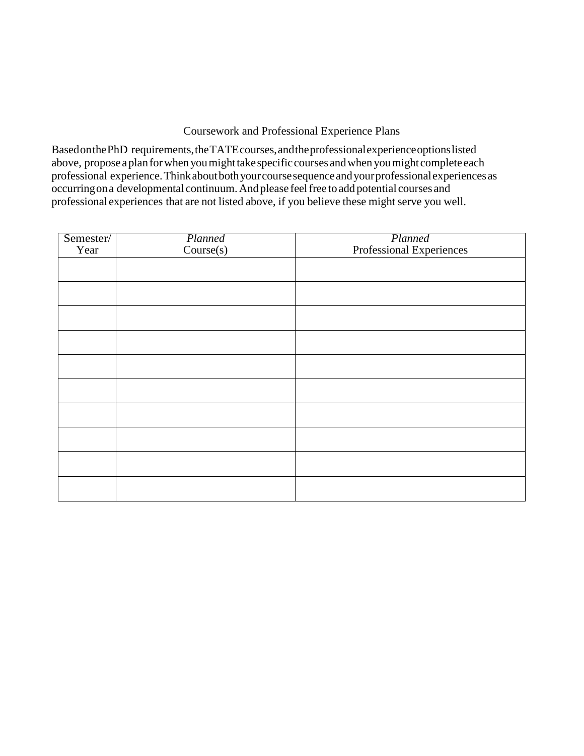#### Coursework and Professional Experience Plans

BasedonthePhD requirements,theTATEcourses,andtheprofessionalexperienceoptionslisted above, propose a plan for when you might take specific courses and when you might complete each professional experience.Thinkaboutbothyourcoursesequenceandyourprofessionalexperiencesas occurringona developmental continuum.And please feelfree to add potential courses and professional experiences that are not listed above, if you believe these might serve you well.

| Semester/ | Planned   | Planned<br>Professional Experiences |
|-----------|-----------|-------------------------------------|
| Year      | Course(s) |                                     |
|           |           |                                     |
|           |           |                                     |
|           |           |                                     |
|           |           |                                     |
|           |           |                                     |
|           |           |                                     |
|           |           |                                     |
|           |           |                                     |
|           |           |                                     |
|           |           |                                     |
|           |           |                                     |
|           |           |                                     |
|           |           |                                     |
|           |           |                                     |
|           |           |                                     |
|           |           |                                     |
|           |           |                                     |
|           |           |                                     |
|           |           |                                     |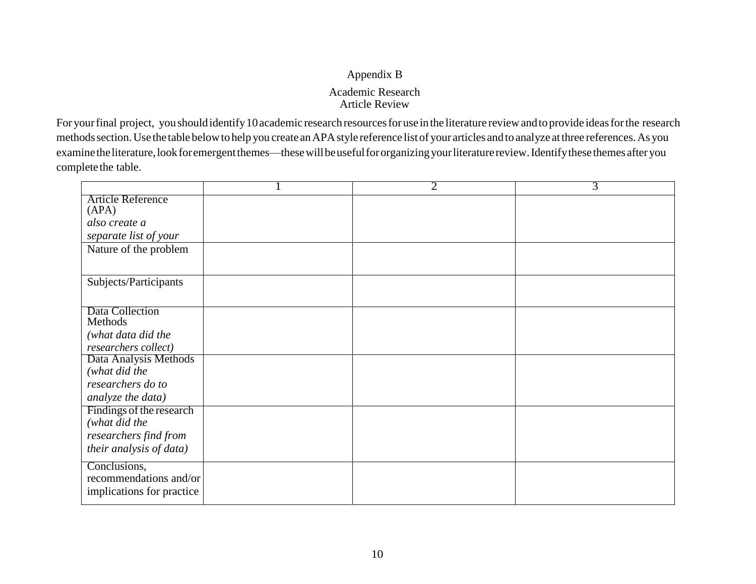# Appendix B Academic Research Article Review

For your final project, you should identify 10 academic research resources for use in the literature review and to provide ideas for the research methodssection.Use the table belowto help you create anAPAstyle reference list of your articles and to analyze atthree references.As you examine the literature, look for emergent themes—these will be useful for organizing your literature review. Identify these themes after you complete the table.

|                                   | $\overline{2}$ | $\overline{3}$ |
|-----------------------------------|----------------|----------------|
| <b>Article Reference</b><br>(APA) |                |                |
| also create a                     |                |                |
| separate list of your             |                |                |
| Nature of the problem             |                |                |
| Subjects/Participants             |                |                |
| Data Collection                   |                |                |
| Methods                           |                |                |
| (what data did the                |                |                |
| researchers collect)              |                |                |
| Data Analysis Methods             |                |                |
| (what did the                     |                |                |
| researchers do to                 |                |                |
| analyze the data)                 |                |                |
| Findings of the research          |                |                |
| (what did the                     |                |                |
| researchers find from             |                |                |
| their analysis of data)           |                |                |
| Conclusions,                      |                |                |
| recommendations and/or            |                |                |
| implications for practice         |                |                |
|                                   |                |                |